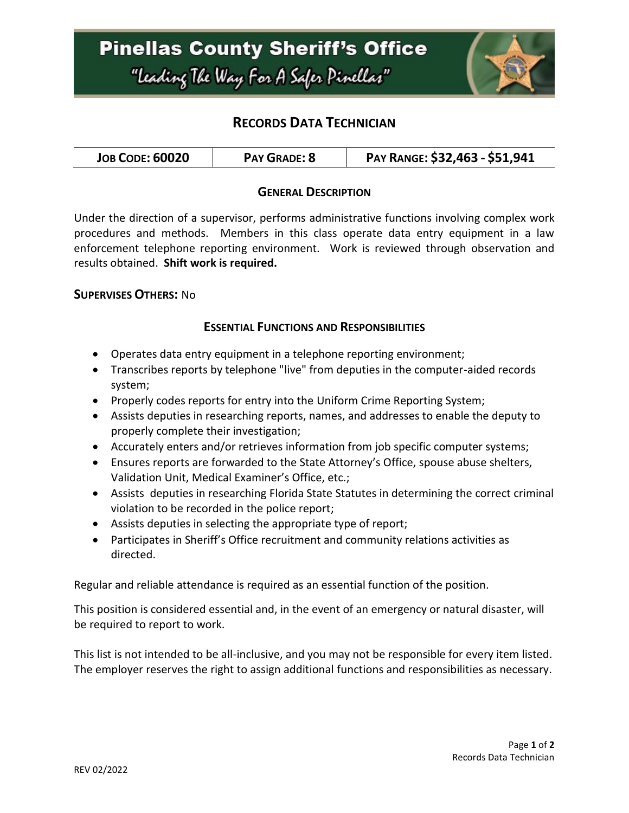

# **RECORDS DATA TECHNICIAN**

| <b>JOB CODE: 60020</b><br><b>PAY GRADE: 8</b> | PAY RANGE: \$32,463 - \$51,941 |
|-----------------------------------------------|--------------------------------|
|-----------------------------------------------|--------------------------------|

### **GENERAL DESCRIPTION**

Under the direction of a supervisor, performs administrative functions involving complex work procedures and methods. Members in this class operate data entry equipment in a law enforcement telephone reporting environment. Work is reviewed through observation and results obtained. **Shift work is required.**

### **SUPERVISES OTHERS:** No

### **ESSENTIAL FUNCTIONS AND RESPONSIBILITIES**

- Operates data entry equipment in a telephone reporting environment;
- Transcribes reports by telephone "live" from deputies in the computer-aided records system;
- Properly codes reports for entry into the Uniform Crime Reporting System;
- Assists deputies in researching reports, names, and addresses to enable the deputy to properly complete their investigation;
- Accurately enters and/or retrieves information from job specific computer systems;
- Ensures reports are forwarded to the State Attorney's Office, spouse abuse shelters, Validation Unit, Medical Examiner's Office, etc.;
- Assists deputies in researching Florida State Statutes in determining the correct criminal violation to be recorded in the police report;
- Assists deputies in selecting the appropriate type of report;
- Participates in Sheriff's Office recruitment and community relations activities as directed.

Regular and reliable attendance is required as an essential function of the position.

This position is considered essential and, in the event of an emergency or natural disaster, will be required to report to work.

This list is not intended to be all-inclusive, and you may not be responsible for every item listed. The employer reserves the right to assign additional functions and responsibilities as necessary.